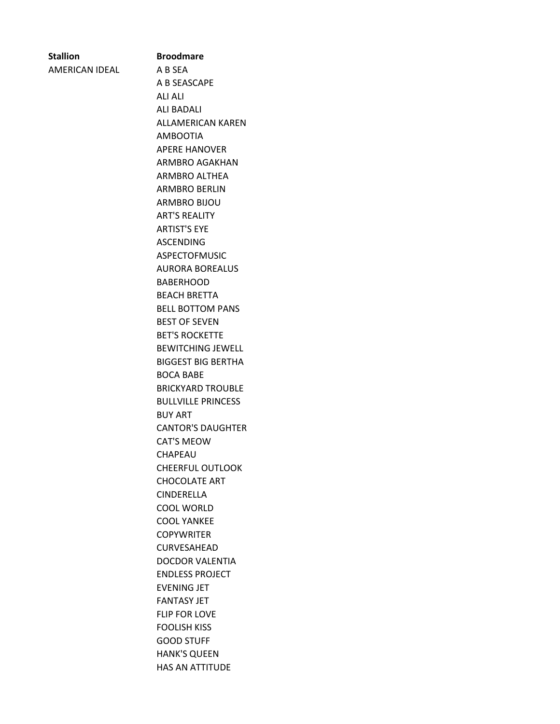| <b>Stallion</b>   |  |  |
|-------------------|--|--|
| $- - - - - - - -$ |  |  |

AMERICAN IDEAL A B SEA

**Stallion Broodmare** A B SEASCAPE ALI ALI ALI BADALI ALLAMERICAN KAREN AMBOOTIA APERE HANOVER ARMBRO AGAKHAN ARMBRO ALTHEA ARMBRO BERLIN ARMBRO BIJOU ART'S REALITY ARTIST'S EYE ASCENDING ASPECTOFMUSIC AURORA BOREALUS BABERHOOD BEACH BRETTA BELL BOTTOM PANS BEST OF SEVEN BET'S ROCKETTE BEWITCHING JEWELL BIGGEST BIG BERTHA BOCA BABE BRICKYARD TROUBLE BULLVILLE PRINCESS BUY ART CANTOR'S DAUGHTER CAT'S MEOW CHAPEAU CHEERFUL OUTLOOK CHOCOLATE ART CINDERELLA COOL WORLD COOL YANKEE **COPYWRITER** CURVESAHEAD DOCDOR VALENTIA ENDLESS PROJECT EVENING JET FANTASY JET FLIP FOR LOVE FOOLISH KISS GOOD STUFF HANK'S QUEEN HAS AN ATTITUDE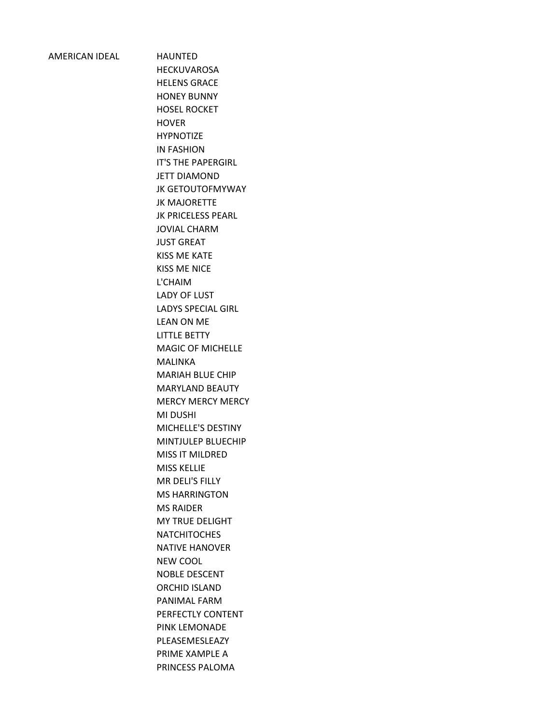## AMERICAN IDEAL HAUNTED

HECKUVAROSA HELENS GRACE HONEY BUNNY HOSEL ROCKET **HOVER** HYPNOTIZE IN FASHION IT'S THE PAPERGIRL JETT DIAMOND JK GETOUTOFMYWAY JK MAJORETTE JK PRICELESS PEARL JOVIAL CHARM JUST GREAT KISS ME KATE KISS ME NICE L'CHAIM LADY OF LUST LADYS SPECIAL GIRL LEAN ON ME LITTLE BETTY MAGIC OF MICHELLE MALINKA MARIAH BLUE CHIP MARYLAND BEAUTY MERCY MERCY MERCY MI DUSHI MICHELLE'S DESTINY MINTJULEP BLUECHIP MISS IT MILDRED MISS KELLIE MR DELI'S FILLY MS HARRINGTON MS RAIDER MY TRUE DELIGHT **NATCHITOCHES** NATIVE HANOVER NEW COOL NOBLE DESCENT ORCHID ISLAND PANIMAL FARM PERFECTLY CONTENT PINK LEMONADE PLEASEMESLEAZY PRIME XAMPLE A PRINCESS PALOMA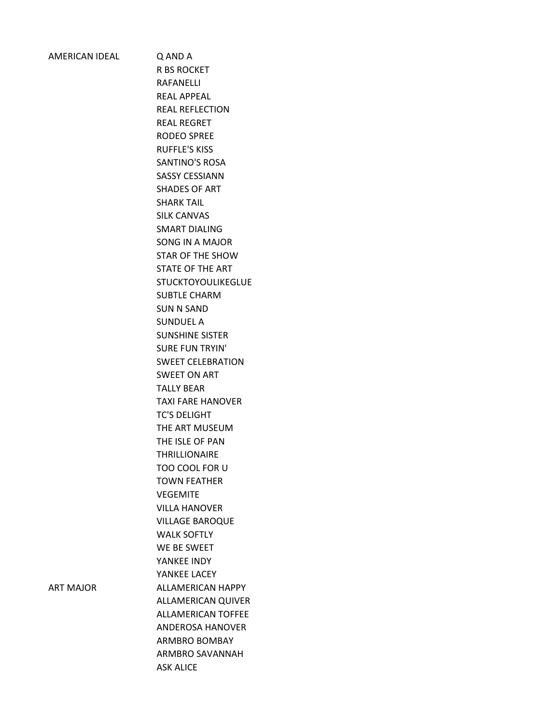Q AND A R BS ROCKET RAFANELLI REAL APPEAL REAL REFLECTION REAL REGRET RODEO SPREE RUFFLE'S KISS SANTINO'S ROSA SASSY CESSIANN SHADES OF ART SHARK TAIL SILK CANVAS SMART DIALING SONG IN A MAJOR STAR OF THE SHOW STATE OF THE ART STUCKTOYOULIKEGLUE SUBTLE CHARM SUN N SAND SUNDUEL A SUNSHINE SISTER SURE FUN TRYIN' SWEET CELEBRATION SWEET ON ART TALLY BEAR TAXI FARE HANOVER TC'S DELIGHT THE ART MUSEUM THE ISLE OF PAN THRILLIONAIRE TOO COOL FOR U TOWN FEATHER VEGEMITE VILLA HANOVER VILLAGE BAROQUE WALK SOFTLY WE BE SWEET YANKEE INDY YANKEE LACEY ART MAJOR ALLAMERICAN HAPPY ALLAMERICAN QUIVER ALLAMERICAN TOFFEE ANDEROSA HANOVER ARMBRO BOMBAY ARMBRO SAVANNAH ASK ALICE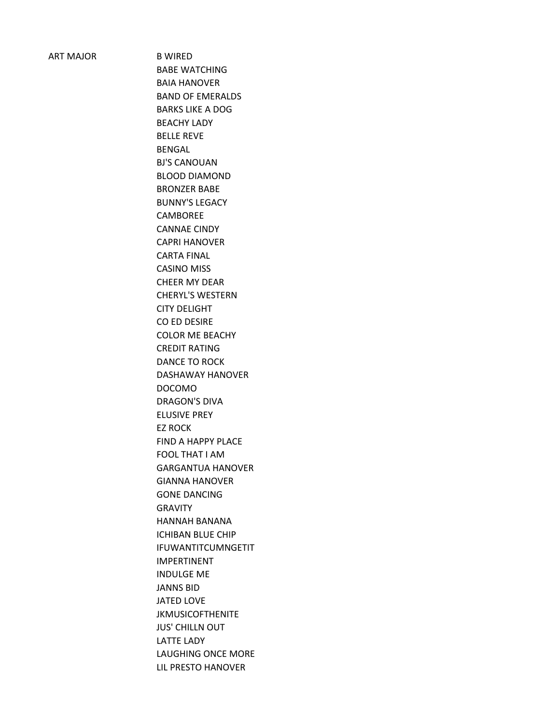ART MAJOR B WIRED

BABE WATCHING BAIA HANOVER BAND OF EMERALDS BARKS LIKE A DOG BEACHY LADY BELLE REVE BENGAL BJ'S CANOUAN BLOOD DIAMOND BRONZER BABE BUNNY'S LEGACY CAMBOREE CANNAE CINDY CAPRI HANOVER CARTA FINAL CASINO MISS CHEER MY DEAR CHERYL'S WESTERN CITY DELIGHT CO ED DESIRE COLOR ME BEACHY CREDIT RATING DANCE TO ROCK DASHAWAY HANOVER DOCOMO DRAGON'S DIVA ELUSIVE PREY EZ ROCK FIND A HAPPY PLACE FOOL THAT I AM GARGANTUA HANOVER GIANNA HANOVER GONE DANCING GRAVITY HANNAH BANANA ICHIBAN BLUE CHIP IFUWANTITCUMNGETIT IMPERTINENT INDULGE ME JANNS BID JATED LOVE JKMUSICOFTHENITE JUS' CHILLN OUT LATTE LADY LAUGHING ONCE MORE LIL PRESTO HANOVER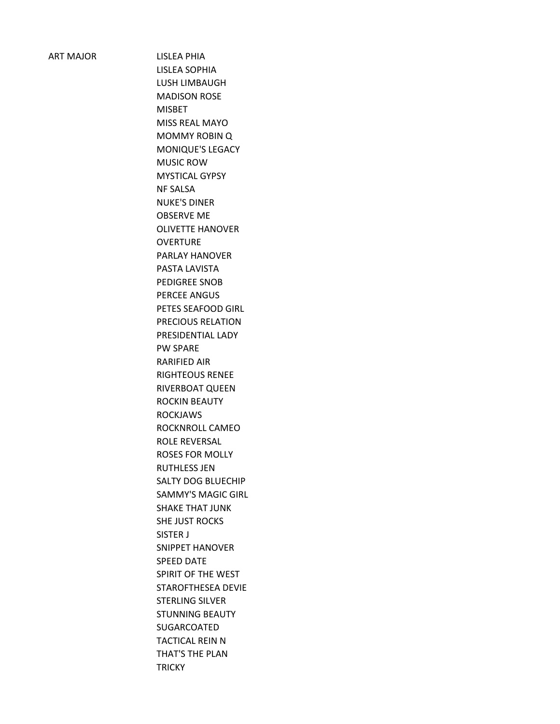ART MAJOR LISLEA PHIA LISLEA SOPHIA LUSH LIMBAUGH MADISON ROSE MISBET MISS REAL MAYO MOMMY ROBIN Q MONIQUE'S LEGACY MUSIC ROW MYSTICAL GYPSY NF SALSA NUKE'S DINER OBSERVE ME OLIVETTE HANOVER **OVERTURE** PARLAY HANOVER PASTA LAVISTA PEDIGREE SNOB PERCEE ANGUS PETES SEAFOOD GIRL PRECIOUS RELATION PRESIDENTIAL LADY PW SPARE RARIFIED AIR RIGHTEOUS RENEE RIVERBOAT QUEEN ROCKIN BEAUTY ROCKJAWS ROCKNROLL CAMEO ROLE REVERSAL ROSES FOR MOLLY RUTHLESS JEN SALTY DOG BLUECHIP SAMMY'S MAGIC GIRL SHAKE THAT JUNK SHE JUST ROCKS SISTER J SNIPPET HANOVER SPEED DATE SPIRIT OF THE WEST STAROFTHESEA DEVIE STERLING SILVER STUNNING BEAUTY SUGARCOATED TACTICAL REIN N THAT'S THE PLAN **TRICKY**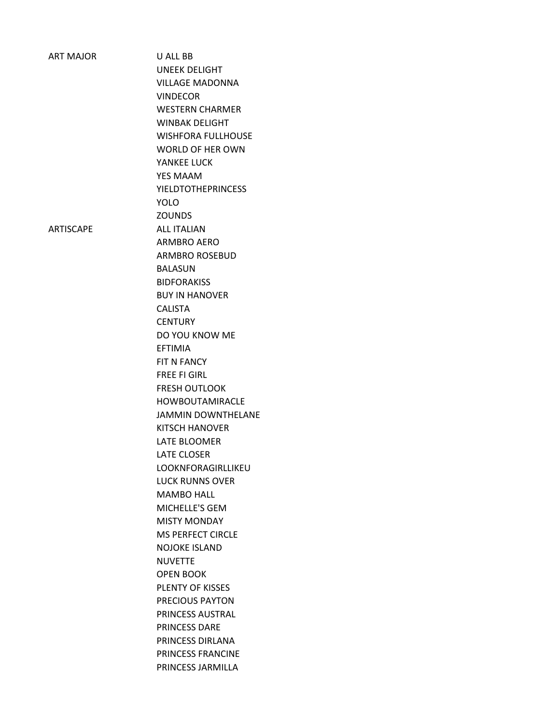| <b>ART MAJOR</b> | U ALL BB                  |
|------------------|---------------------------|
|                  | <b>UNEEK DELIGHT</b>      |
|                  | <b>VILLAGE MADONNA</b>    |
|                  | <b>VINDECOR</b>           |
|                  | <b>WESTERN CHARMER</b>    |
|                  | <b>WINBAK DELIGHT</b>     |
|                  | <b>WISHFORA FULLHOUSE</b> |
|                  | <b>WORLD OF HER OWN</b>   |
|                  | YANKEE LUCK               |
|                  | <b>YES MAAM</b>           |
|                  | <b>YIELDTOTHEPRINCESS</b> |
|                  | <b>YOLO</b>               |
|                  | <b>ZOUNDS</b>             |
| <b>ARTISCAPE</b> | <b>ALL ITALIAN</b>        |
|                  | <b>ARMBRO AERO</b>        |
|                  | <b>ARMBRO ROSEBUD</b>     |
|                  | <b>BALASUN</b>            |
|                  | <b>BIDFORAKISS</b>        |
|                  | <b>BUY IN HANOVER</b>     |
|                  | <b>CALISTA</b>            |
|                  | <b>CENTURY</b>            |
|                  | DO YOU KNOW ME            |
|                  | <b>EFTIMIA</b>            |
|                  | FIT N FANCY               |
|                  | <b>FREE FI GIRL</b>       |
|                  | <b>FRESH OUTLOOK</b>      |
|                  | <b>HOWBOUTAMIRACLE</b>    |
|                  | <b>JAMMIN DOWNTHELANE</b> |
|                  | <b>KITSCH HANOVER</b>     |
|                  | LATE BLOOMER              |
|                  | <b>LATE CLOSER</b>        |
|                  | LOOKNFORAGIRLLIKEU        |
|                  | <b>LUCK RUNNS OVER</b>    |
|                  | <b>MAMBO HALL</b>         |
|                  | MICHELLE'S GEM            |
|                  | <b>MISTY MONDAY</b>       |
|                  | <b>MS PERFECT CIRCLE</b>  |
|                  | <b>NOJOKE ISLAND</b>      |
|                  | <b>NUVETTE</b>            |
|                  | <b>OPEN BOOK</b>          |
|                  | PLENTY OF KISSES          |
|                  | PRECIOUS PAYTON           |
|                  | PRINCESS AUSTRAL          |
|                  | PRINCESS DARE             |
|                  | PRINCESS DIRLANA          |
|                  | PRINCESS FRANCINE         |
|                  | PRINCESS JARMILLA         |
|                  |                           |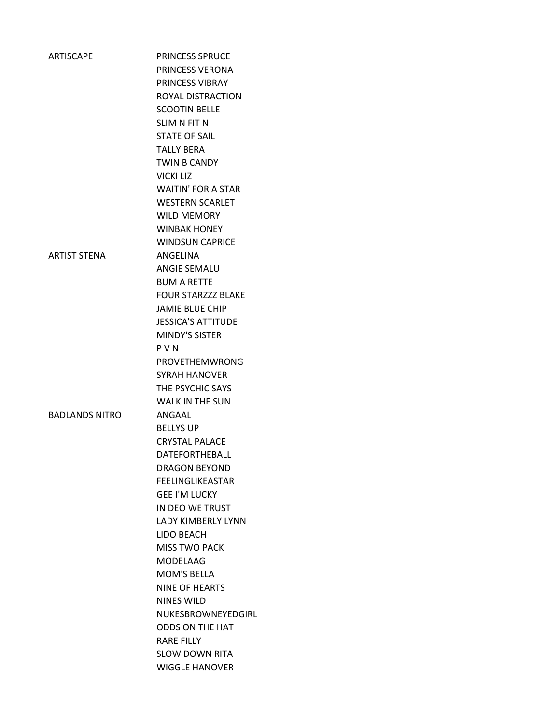| <b>ARTISCAPE</b>      | <b>PRINCESS SPRUCE</b>    |
|-----------------------|---------------------------|
|                       | PRINCESS VERONA           |
|                       | PRINCESS VIBRAY           |
|                       | ROYAL DISTRACTION         |
|                       | <b>SCOOTIN BELLE</b>      |
|                       | SLIM N FIT N              |
|                       | <b>STATE OF SAIL</b>      |
|                       | <b>TALLY BERA</b>         |
|                       | <b>TWIN B CANDY</b>       |
|                       | <b>VICKI LIZ</b>          |
|                       | <b>WAITIN' FOR A STAR</b> |
|                       | <b>WESTERN SCARLET</b>    |
|                       | <b>WILD MEMORY</b>        |
|                       | <b>WINBAK HONEY</b>       |
|                       | <b>WINDSUN CAPRICE</b>    |
| <b>ARTIST STENA</b>   | ANGELINA                  |
|                       | <b>ANGIE SEMALU</b>       |
|                       | <b>BUM A RETTE</b>        |
|                       | <b>FOUR STARZZZ BLAKE</b> |
|                       | <b>JAMIE BLUE CHIP</b>    |
|                       | <b>JESSICA'S ATTITUDE</b> |
|                       | <b>MINDY'S SISTER</b>     |
|                       | <b>PVN</b>                |
|                       | PROVETHEMWRONG            |
|                       | <b>SYRAH HANOVER</b>      |
|                       | THE PSYCHIC SAYS          |
|                       | <b>WALK IN THE SUN</b>    |
| <b>BADLANDS NITRO</b> | ANGAAL                    |
|                       | <b>BELLYS UP</b>          |
|                       | <b>CRYSTAL PALACE</b>     |
|                       | <b>DATFFORTHFBALL</b>     |
|                       | <b>DRAGON BEYOND</b>      |
|                       | <b>FEELINGLIKEASTAR</b>   |
|                       | <b>GEE I'M LUCKY</b>      |
|                       | IN DEO WE TRUST           |
|                       | <b>LADY KIMBERLY LYNN</b> |
|                       | LIDO BEACH                |
|                       | <b>MISS TWO PACK</b>      |
|                       | <b>MODELAAG</b>           |
|                       | <b>MOM'S BELLA</b>        |
|                       | <b>NINE OF HEARTS</b>     |
|                       | <b>NINES WILD</b>         |
|                       | NUKESBROWNEYEDGIRL        |
|                       | <b>ODDS ON THE HAT</b>    |
|                       | <b>RARE FILLY</b>         |
|                       | <b>SLOW DOWN RITA</b>     |
|                       | <b>WIGGLE HANOVER</b>     |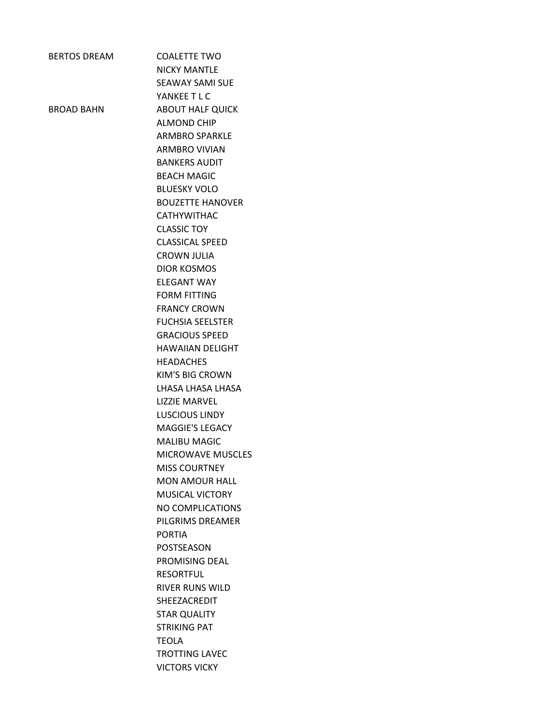| <b>BERTOS DREAM</b> | COALFTTF TWO             |
|---------------------|--------------------------|
|                     | <b>NICKY MANTLE</b>      |
|                     | <b>SEAWAY SAMI SUE</b>   |
|                     | YANKEE T L C             |
| BROAD BAHN          | <b>ABOUT HALF QUICK</b>  |
|                     | <b>ALMOND CHIP</b>       |
|                     | <b>ARMBRO SPARKLE</b>    |
|                     | <b>ARMBRO VIVIAN</b>     |
|                     | <b>BANKERS AUDIT</b>     |
|                     | <b>BEACH MAGIC</b>       |
|                     | <b>BLUESKY VOLO</b>      |
|                     | <b>BOUZETTE HANOVER</b>  |
|                     | <b>CATHYWITHAC</b>       |
|                     | <b>CLASSIC TOY</b>       |
|                     | <b>CLASSICAL SPEED</b>   |
|                     | <b>CROWN JULIA</b>       |
|                     | <b>DIOR KOSMOS</b>       |
|                     | <b>FLFGANT WAY</b>       |
|                     | <b>FORM FITTING</b>      |
|                     | <b>FRANCY CROWN</b>      |
|                     | <b>FUCHSIA SEELSTER</b>  |
|                     | <b>GRACIOUS SPEED</b>    |
|                     | <b>HAWAIIAN DELIGHT</b>  |
|                     | <b>HEADACHES</b>         |
|                     | KIM'S BIG CROWN          |
|                     | LHASA LHASA LHASA        |
|                     | <b>LIZZIE MARVEL</b>     |
|                     | <b>LUSCIOUS LINDY</b>    |
|                     | MAGGIE'S LEGACY          |
|                     | <b>MALIBU MAGIC</b>      |
|                     | <b>MICROWAVE MUSCLES</b> |
|                     | <b>MISS COURTNEY</b>     |
|                     | <b>MON AMOUR HALL</b>    |
|                     | <b>MUSICAL VICTORY</b>   |
|                     | <b>NO COMPLICATIONS</b>  |
|                     | PILGRIMS DREAMER         |
|                     | <b>PORTIA</b>            |
|                     | POSTSEASON               |
|                     | PROMISING DEAL           |
|                     | <b>RESORTFUL</b>         |
|                     | <b>RIVER RUNS WILD</b>   |
|                     | <b>SHEEZACREDIT</b>      |
|                     | <b>STAR QUALITY</b>      |
|                     | STRIKING PAT             |
|                     | <b>TEOLA</b>             |
|                     | <b>TROTTING LAVEC</b>    |
|                     | <b>VICTORS VICKY</b>     |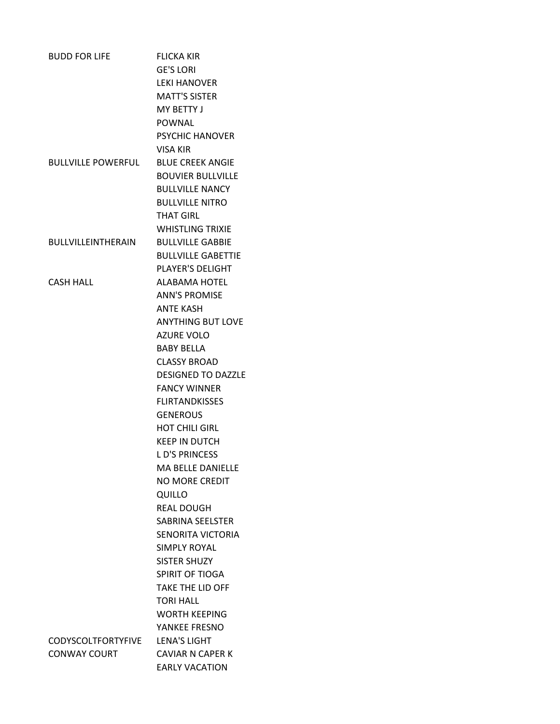| <b>BUDD FOR LIFE</b>      | <b>FLICKA KIR</b>         |
|---------------------------|---------------------------|
|                           | <b>GE'S LORI</b>          |
|                           | <b>LEKI HANOVER</b>       |
|                           | <b>MATT'S SISTER</b>      |
|                           | MY BFTTY J                |
|                           | <b>POWNAL</b>             |
|                           | PSYCHIC HANOVER           |
|                           | <b>VISA KIR</b>           |
| <b>BULLVILLE POWERFUL</b> | <b>BLUF CREEK ANGIF</b>   |
|                           | <b>BOUVIER BULLVILLE</b>  |
|                           | <b>BULLVILLE NANCY</b>    |
|                           | <b>BULLVILLE NITRO</b>    |
|                           | <b>THAT GIRL</b>          |
|                           | <b>WHISTLING TRIXIE</b>   |
| <b>BULLVILLEINTHERAIN</b> | <b>BULLVILLF GABBIF</b>   |
|                           | <b>BULLVILLE GABETTIE</b> |
|                           | <b>PLAYER'S DELIGHT</b>   |
| <b>CASH HALL</b>          | ALABAMA HOTEL             |
|                           | <b>ANN'S PROMISE</b>      |
|                           | <b>ANTE KASH</b>          |
|                           | <b>ANYTHING BUT LOVE</b>  |
|                           | <b>AZURE VOLO</b>         |
|                           | <b>BABY BELLA</b>         |
|                           | <b>CLASSY BROAD</b>       |
|                           | <b>DESIGNED TO DAZZLE</b> |
|                           | <b>FANCY WINNER</b>       |
|                           | <b>FLIRTANDKISSES</b>     |
|                           | <b>GENEROUS</b>           |
|                           | <b>HOT CHILI GIRL</b>     |
|                           | <b>KEEP IN DUTCH</b>      |
|                           | <b>LD'S PRINCESS</b>      |
|                           | <b>MA BELLE DANIELLE</b>  |
|                           | <b>NO MORE CREDIT</b>     |
|                           | QUILLO                    |
|                           | <b>REAL DOUGH</b>         |
|                           | SABRINA SEELSTER          |
|                           | SENORITA VICTORIA         |
|                           | <b>SIMPLY ROYAL</b>       |
|                           | SISTER SHUZY              |
|                           | SPIRIT OF TIOGA           |
|                           | <b>TAKE THE LID OFF</b>   |
|                           | <b>TORI HALL</b>          |
|                           | <b>WORTH KEEPING</b>      |
|                           | YANKEE FRESNO             |
| <b>CODYSCOLTFORTYFIVE</b> | <b>LENA'S LIGHT</b>       |
| <b>CONWAY COURT</b>       | <b>CAVIAR N CAPER K</b>   |
|                           | <b>EARLY VACATION</b>     |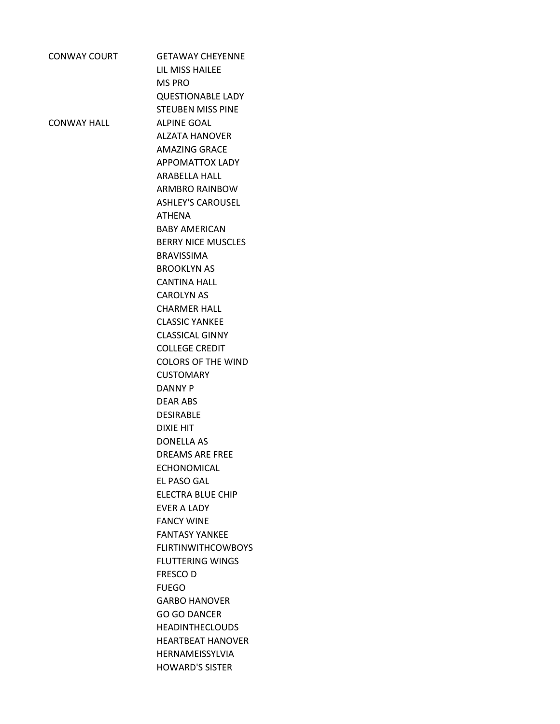| <b>CONWAY COURT</b> | <b>GETAWAY CHEYENNE</b>   |
|---------------------|---------------------------|
|                     | LIL MISS HAILEE           |
|                     | <b>MS PRO</b>             |
|                     | <b>QUESTIONABLE LADY</b>  |
|                     | <b>STEUBEN MISS PINE</b>  |
| CONWAY HALL         | <b>ALPINE GOAL</b>        |
|                     | <b>ALZATA HANOVER</b>     |
|                     | <b>AMAZING GRACE</b>      |
|                     | <b>APPOMATTOX LADY</b>    |
|                     | <b>ARABELLA HALL</b>      |
|                     | ARMBRO RAINBOW            |
|                     | <b>ASHLEY'S CAROUSEL</b>  |
|                     | <b>ATHENA</b>             |
|                     | <b>BABY AMERICAN</b>      |
|                     | <b>BERRY NICE MUSCLES</b> |
|                     | <b>BRAVISSIMA</b>         |
|                     | <b>BROOKLYN AS</b>        |
|                     | <b>CANTINA HALL</b>       |
|                     | <b>CAROLYN AS</b>         |
|                     | <b>CHARMER HALL</b>       |
|                     | <b>CLASSIC YANKEE</b>     |
|                     | <b>CLASSICAL GINNY</b>    |
|                     | <b>COLLEGE CREDIT</b>     |
|                     | <b>COLORS OF THE WIND</b> |
|                     | <b>CUSTOMARY</b>          |
|                     | <b>DANNY P</b>            |
|                     | <b>DEAR ABS</b>           |
|                     | <b>DESIRABLE</b>          |
|                     | <b>DIXIE HIT</b>          |
|                     | <b>DONELLA AS</b>         |
|                     | <b>DREAMS ARE FREE</b>    |
|                     | <b>FCHONOMICAL</b>        |
|                     | EL PASO GAL               |
|                     | ELECTRA BLUE CHIP         |
|                     | <b>FVFR A LADY</b>        |
|                     | <b>FANCY WINE</b>         |
|                     | <b>FANTASY YANKEE</b>     |
|                     | <b>FLIRTINWITHCOWBOYS</b> |
|                     | <b>FLUTTERING WINGS</b>   |
|                     | <b>FRESCOD</b>            |
|                     | <b>FUEGO</b>              |
|                     | <b>GARBO HANOVER</b>      |
|                     | <b>GO GO DANCER</b>       |
|                     | <b>HEADINTHECLOUDS</b>    |
|                     | <b>HEARTBEAT HANOVER</b>  |
|                     | HERNAMEISSYLVIA           |
|                     | <b>HOWARD'S SISTER</b>    |
|                     |                           |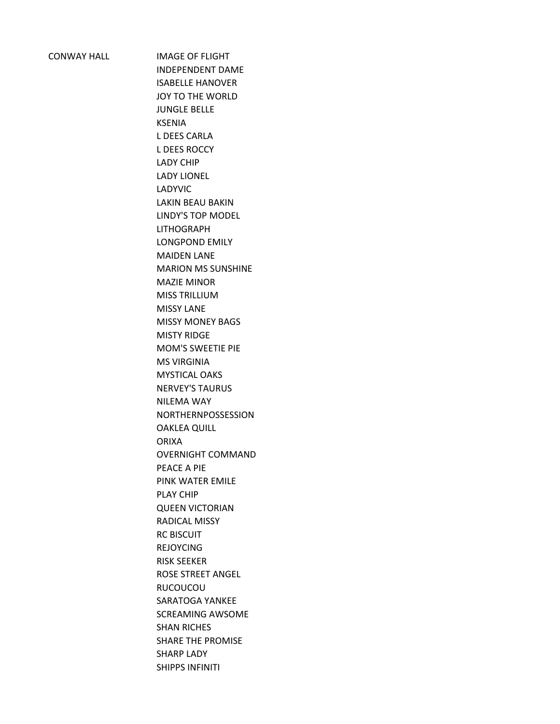CONWAY HALL IMAGE OF FLIGHT

INDEPENDENT DAME ISABELLE HANOVER JOY TO THE WORLD JUNGLE BELLE KSENIA L DEES CARLA L DEES ROCCY LADY CHIP LADY LIONEL LADYVIC LAKIN BEAU BAKIN LINDY'S TOP MODEL LITHOGRAPH LONGPOND EMILY MAIDEN LANE MARION MS SUNSHINE MAZIE MINOR MISS TRILLIUM MISSY LANE MISSY MONEY BAGS MISTY RIDGE MOM'S SWEETIE PIE MS VIRGINIA MYSTICAL OAKS NERVEY'S TAURUS NILEMA WAY NORTHERNPOSSESSION OAKLEA QUILL ORIXA OVERNIGHT COMMAND PEACE A PIE PINK WATER EMILE PLAY CHIP QUEEN VICTORIAN RADICAL MISSY RC BISCUIT REJOYCING RISK SEEKER ROSE STREET ANGEL RUCOUCOU SARATOGA YANKEE SCREAMING AWSOME SHAN RICHES SHARE THE PROMISE SHARP LADY SHIPPS INFINITI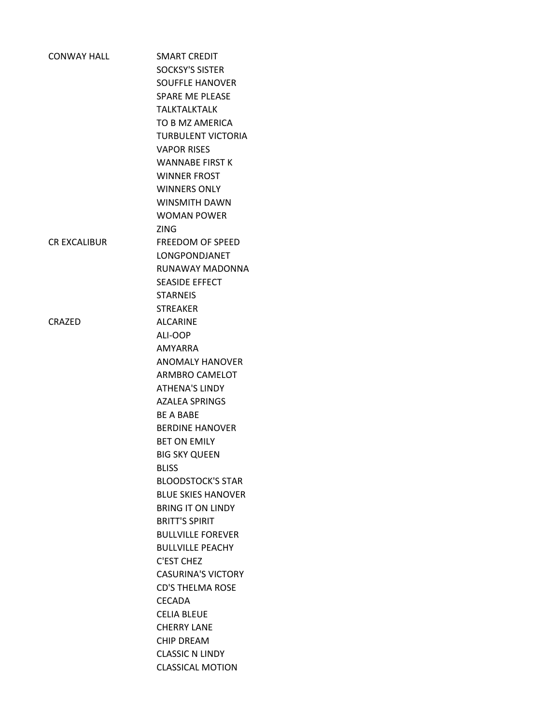| <b>CONWAY HALL</b>  | <b>SMART CREDIT</b>       |
|---------------------|---------------------------|
|                     | <b>SOCKSY'S SISTER</b>    |
|                     | <b>SOUFFLE HANOVER</b>    |
|                     | <b>SPARE ME PLEASE</b>    |
|                     | <b>TALKTALKTALK</b>       |
|                     | TO B MZ AMERICA           |
|                     | <b>TURBULENT VICTORIA</b> |
|                     | <b>VAPOR RISES</b>        |
|                     | <b>WANNABE FIRST K</b>    |
|                     | <b>WINNER FROST</b>       |
|                     | <b>WINNERS ONLY</b>       |
|                     | <b>WINSMITH DAWN</b>      |
|                     | <b>WOMAN POWER</b>        |
|                     | <b>ZING</b>               |
| <b>CR EXCALIBUR</b> | FREEDOM OF SPEED          |
|                     | LONGPONDJANET             |
|                     | RUNAWAY MADONNA           |
|                     | SEASIDE EFFECT            |
|                     | <b>STARNEIS</b>           |
|                     | <b>STREAKER</b>           |
| <b>CRAZED</b>       | <b>ALCARINE</b>           |
|                     | ALI-OOP                   |
|                     | AMYARRA                   |
|                     | <b>ANOMALY HANOVER</b>    |
|                     | <b>ARMBRO CAMELOT</b>     |
|                     | <b>ATHENA'S LINDY</b>     |
|                     | <b>AZALEA SPRINGS</b>     |
|                     | <b>BF A BABF</b>          |
|                     | <b>BERDINE HANOVER</b>    |
|                     | <b>BET ON EMILY</b>       |
|                     | <b>BIG SKY QUEEN</b>      |
|                     | <b>BLISS</b>              |
|                     | <b>BLOODSTOCK'S STAR</b>  |
|                     | <b>BLUE SKIES HANOVER</b> |
|                     | <b>BRING IT ON LINDY</b>  |
|                     | <b>BRITT'S SPIRIT</b>     |
|                     | <b>BULLVILLE FOREVER</b>  |
|                     | <b>BULLVILLE PEACHY</b>   |
|                     | C'EST CHEZ                |
|                     | <b>CASURINA'S VICTORY</b> |
|                     | <b>CD'S THELMA ROSE</b>   |
|                     | <b>CECADA</b>             |
|                     | <b>CELIA BLEUE</b>        |
|                     | <b>CHERRY LANE</b>        |
|                     | <b>CHIP DREAM</b>         |
|                     | <b>CLASSIC N LINDY</b>    |
|                     | <b>CLASSICAL MOTION</b>   |
|                     |                           |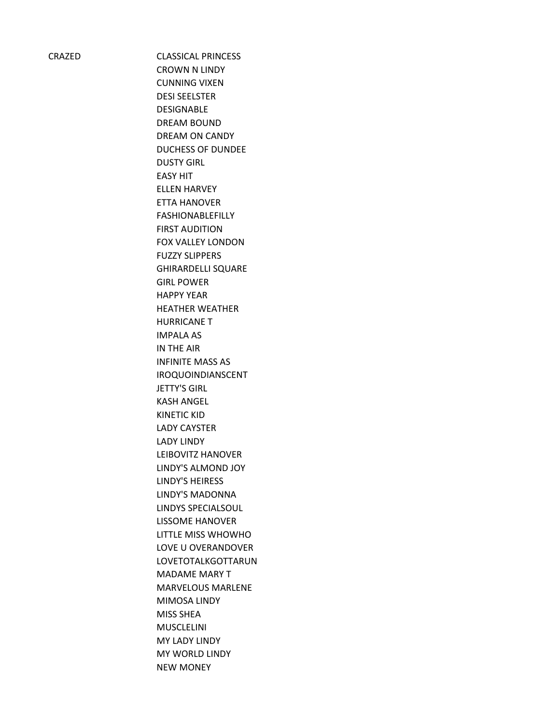CRAZED CLASSICAL PRINCESS CROWN N LINDY CUNNING VIXEN DESI SEELSTER DESIGNABLE DREAM BOUND DREAM ON CANDY DUCHESS OF DUNDEE DUSTY GIRL EASY HIT ELLEN HARVEY ETTA HANOVER FASHIONABLEFILLY FIRST AUDITION FOX VALLEY LONDON FUZZY SLIPPERS GHIRARDELLI SQUARE GIRL POWER HAPPY YEAR HEATHER WEATHER HURRICANE T IMPALA AS IN THE AIR INFINITE MASS AS IROQUOINDIANSCENT JETTY'S GIRL KASH ANGEL KINETIC KID LADY CAYSTER LADY LINDY LEIBOVITZ HANOVER LINDY'S ALMOND JOY LINDY'S HEIRESS LINDY'S MADONNA LINDYS SPECIALSOUL LISSOME HANOVER LITTLE MISS WHOWHO LOVE U OVERANDOVER LOVETOTALKGOTTARUN MADAME MARY T MARVELOUS MARLENE MIMOSA LINDY MISS SHEA MUSCLELINI MY LADY LINDY MY WORLD LINDY NEW MONEY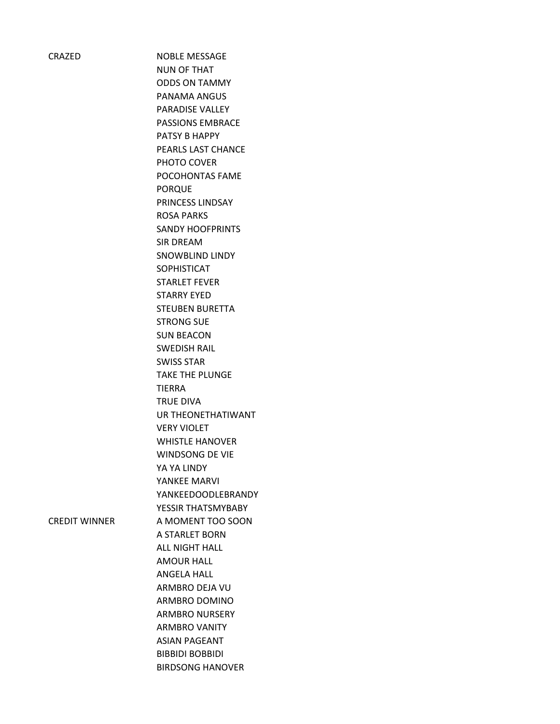CRAZED NOBLE MESSAGE NUN OF THAT ODDS ON TAMMY PANAMA ANGUS PARADISE VALLEY PASSIONS EMBRACE PATSY B HAPPY PEARLS LAST CHANCE PHOTO COVER POCOHONTAS FAME PORQUE PRINCESS LINDSAY ROSA PARKS SANDY HOOFPRINTS SIR DREAM SNOWBLIND LINDY SOPHISTICAT STARLET FEVER STARRY EYED STEUBEN BURETTA STRONG SUE SUN BEACON SWEDISH RAIL SWISS STAR TAKE THE PLUNGE TIERRA TRUE DIVA UR THEONETHATIWANT VERY VIOLET WHISTLE HANOVER WINDSONG DE VIE YA YA LINDY YANKEE MARVI YANKEEDOODLEBRANDY YESSIR THATSMYBABY CREDIT WINNER A MOMENT TOO SOON A STARLET BORN ALL NIGHT HALL AMOUR HALL ANGELA HALL ARMBRO DEJA VU ARMBRO DOMINO ARMBRO NURSERY ARMBRO VANITY ASIAN PAGEANT BIBBIDI BOBBIDI BIRDSONG HANOVER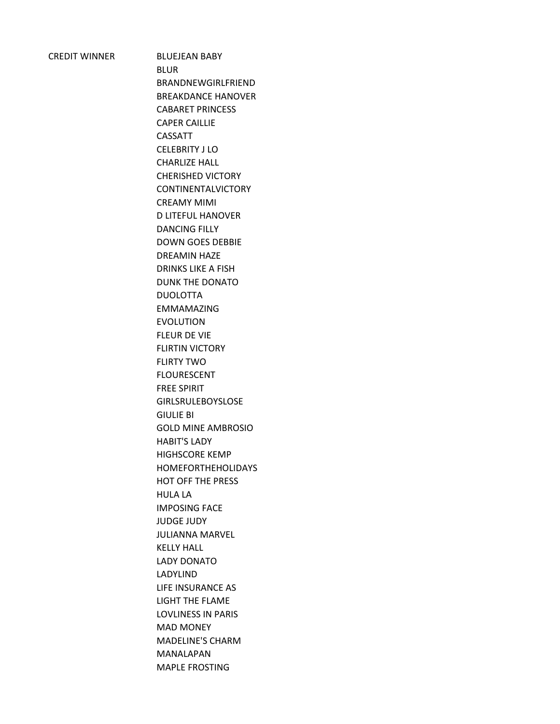CREDIT WINNER BLUEJEAN BABY BLUR BRANDNEWGIRLFRIEND BREAKDANCE HANOVER CABARET PRINCESS CAPER CAILLIE CASSATT CELEBRITY J LO CHARLIZE HALL CHERISHED VICTORY CONTINENTALVICTORY CREAMY MIMI D LITEFUL HANOVER DANCING FILLY DOWN GOES DEBBIE DREAMIN HAZE DRINKS LIKE A FISH DUNK THE DONATO DUOLOTTA EMMAMAZING EVOLUTION FLEUR DE VIE FLIRTIN VICTORY FLIRTY TWO FLOURESCENT FREE SPIRIT GIRLSRULEBOYSLOSE GIULIE BI GOLD MINE AMBROSIO HABIT'S LADY HIGHSCORE KEMP HOMEFORTHEHOLIDAYS HOT OFF THE PRESS HULA LA IMPOSING FACE JUDGE JUDY JULIANNA MARVEL KELLY HALL LADY DONATO LADYLIND LIFE INSURANCE AS LIGHT THE FLAME LOVLINESS IN PARIS MAD MONEY MADELINE'S CHARM MANALAPAN MAPLE FROSTING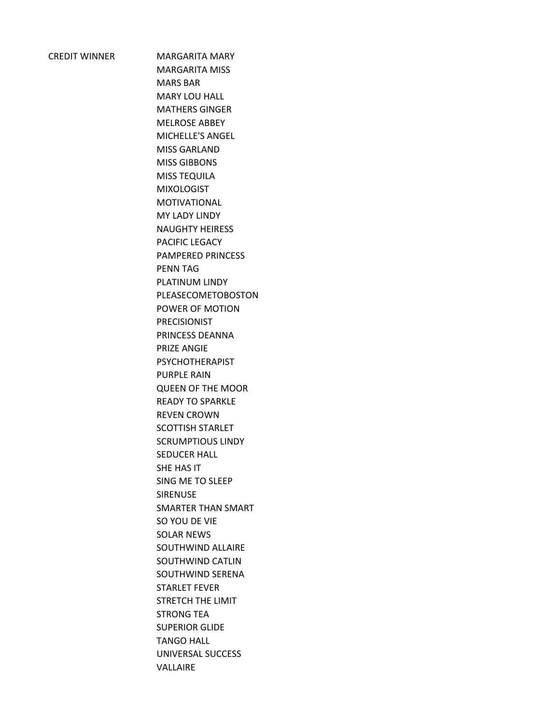CREDIT WINNER MARGARITA MARY MARGARITA MISS MARS BAR MARY LOU HALL MATHERS GINGER MELROSE ABBEY MICHELLE'S ANGEL MISS GARLAND MISS GIBBONS MISS TEQUILA MIXOLOGIST MOTIVATIONAL MY LADY LINDY NAUGHTY HEIRESS PACIFIC LEGACY PAMPERED PRINCESS PENN TAG PLATINUM LINDY PLEASECOMETOBOSTON POWER OF MOTION PRECISIONIST PRINCESS DEANNA PRIZE ANGIE PSYCHOTHERAPIST PURPLE RAIN QUEEN OF THE MOOR READY TO SPARKLE REVEN CROWN SCOTTISH STARLET SCRUMPTIOUS LINDY SEDUCER HALL SHE HAS IT SING ME TO SLEEP SIRENUSE SMARTER THAN SMART SO YOU DE VIE SOLAR NEWS SOUTHWIND ALLAIRE SOUTHWIND CATLIN SOUTHWIND SERENA STARLET FEVER STRETCH THE LIMIT STRONG TEA SUPERIOR GLIDE TANGO HALL UNIVERSAL SUCCESS VALLAIRE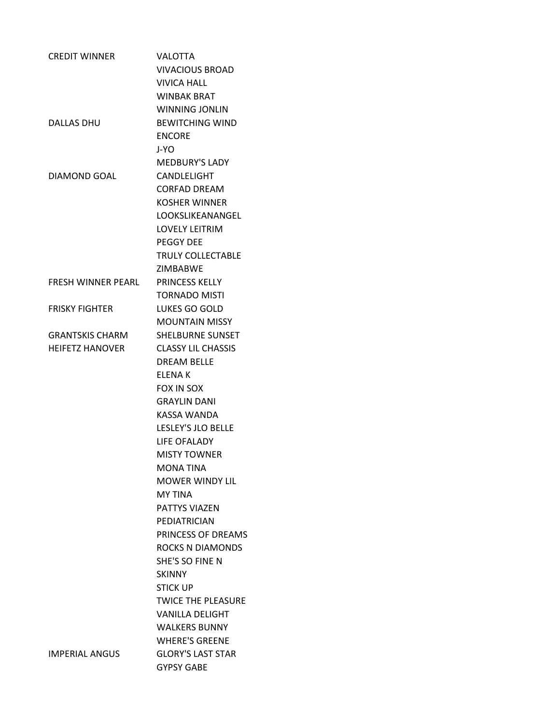| <b>VALOTTA</b>            |
|---------------------------|
| <b>VIVACIOUS BROAD</b>    |
| <b>VIVICA HALL</b>        |
| <b>WINBAK BRAT</b>        |
| <b>WINNING JONLIN</b>     |
| <b>BEWITCHING WIND</b>    |
| <b>ENCORE</b>             |
| J-YO .                    |
| <b>MEDBURY'S LADY</b>     |
| CANDLELIGHT               |
| <b>CORFAD DREAM</b>       |
| <b>KOSHER WINNER</b>      |
| LOOKSLIKEANANGEL          |
| <b>LOVELY LEITRIM</b>     |
| <b>PEGGY DEE</b>          |
| <b>TRULY COLLECTABLE</b>  |
| <b>ZIMBARWF</b>           |
| <b>PRINCESS KELLY</b>     |
| <b>TORNADO MISTI</b>      |
| LUKES GO GOLD             |
| <b>MOUNTAIN MISSY</b>     |
| <b>SHELBURNE SUNSET</b>   |
| <b>CLASSY LIL CHASSIS</b> |
| <b>DREAM BELLE</b>        |
| <b>ELENAK</b>             |
| FOX IN SOX                |
| <b>GRAYLIN DANI</b>       |
| <b>KASSA WANDA</b>        |
| LESLEY'S JLO BELLE        |
| LIFE OFALADY              |
| <b>MISTY TOWNER</b>       |
| <b>MONA TINA</b>          |
| <b>MOWER WINDY LIL</b>    |
| <b>MY TINA</b>            |
| PATTYS VIAZEN             |
| PEDIATRICIAN              |
| PRINCESS OF DREAMS        |
| <b>ROCKS N DIAMONDS</b>   |
| SHE'S SO FINE N           |
| <b>SKINNY</b>             |
| <b>STICK UP</b>           |
| <b>TWICE THE PLEASURE</b> |
| <b>VANILLA DELIGHT</b>    |
| <b>WALKERS BUNNY</b>      |
| <b>WHERE'S GREENE</b>     |
| <b>GLORY'S LAST STAR</b>  |
| <b>GYPSY GABE</b>         |
|                           |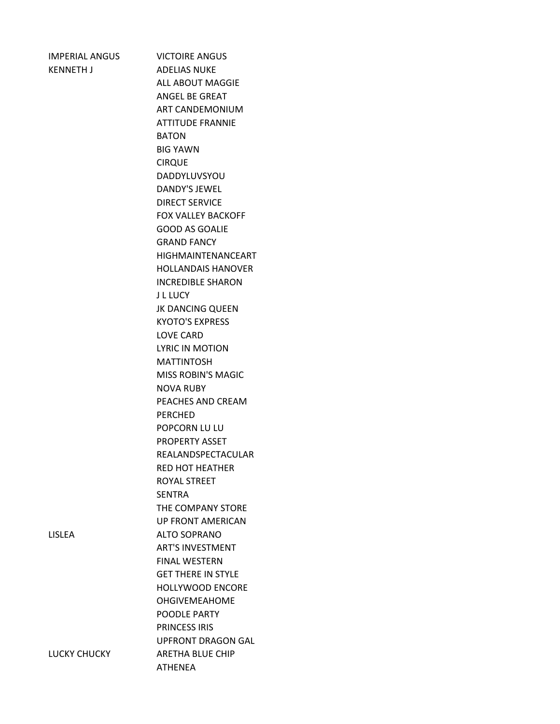KENNETH J ADELIAS NUKE

IMPERIAL ANGUS VICTOIRE ANGUS ALL ABOUT MAGGIE ANGEL BE GREAT ART CANDEMONIUM ATTITUDE FRANNIE BATON BIG YAWN CIRQUE DADDYLUVSYOU DANDY'S JEWEL DIRECT SERVICE FOX VALLEY BACKOFF GOOD AS GOALIE GRAND FANCY HIGHMAINTENANCEART HOLLANDAIS HANOVER INCREDIBLE SHARON J L LUCY JK DANCING QUEEN KYOTO'S EXPRESS LOVE CARD LYRIC IN MOTION MATTINTOSH MISS ROBIN'S MAGIC NOVA RUBY PEACHES AND CREAM PERCHED POPCORN LU LU PROPERTY ASSET REALANDSPECTACULAR RED HOT HEATHER ROYAL STREET SENTRA THE COMPANY STORE UP FRONT AMERICAN ALTO SOPRANO ART'S INVESTMENT FINAL WESTERN GET THERE IN STYLE HOLLYWOOD ENCORE OHGIVEMEAHOME POODLE PARTY PRINCESS IRIS UPFRONT DRAGON GAL LUCKY CHUCKY ARETHA BLUE CHIP ATHENEA

| M.<br>I |  |
|---------|--|
|---------|--|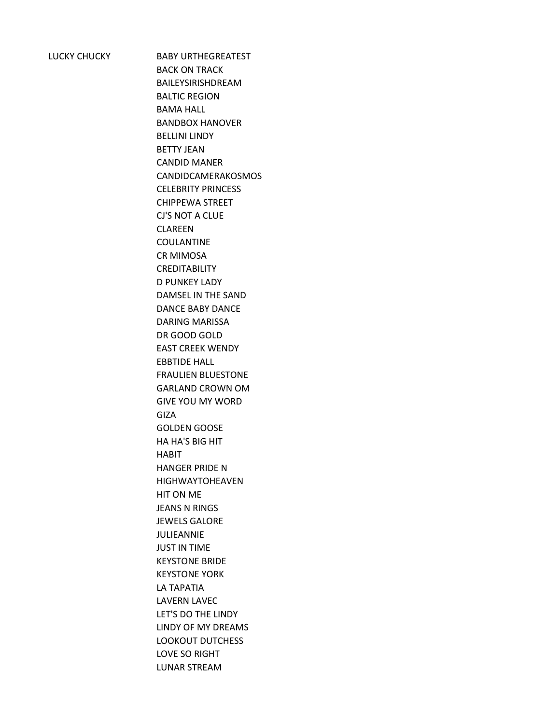LUCKY CHUCKY BABY URTHEGREATEST BACK ON TRACK BAILEYSIRISHDREAM BALTIC REGION BAMA HALL BANDBOX HANOVER BELLINI LINDY BETTY JEAN CANDID MANER CANDIDCAMERAKOSMOS CELEBRITY PRINCESS CHIPPEWA STREET CJ'S NOT A CLUE CLAREEN COULANTINE CR MIMOSA CREDITABILITY D PUNKEY LADY DAMSEL IN THE SAND DANCE BABY DANCE DARING MARISSA DR GOOD GOLD EAST CREEK WENDY EBBTIDE HALL FRAULIEN BLUESTONE GARLAND CROWN OM GIVE YOU MY WORD GIZA GOLDEN GOOSE HA HA'S BIG HIT HABIT HANGER PRIDE N HIGHWAYTOHEAVEN HIT ON ME JEANS N RINGS JEWELS GALORE JULIEANNIE JUST IN TIME KEYSTONE BRIDE KEYSTONE YORK LA TAPATIA LAVERN LAVEC LET'S DO THE LINDY LINDY OF MY DREAMS LOOKOUT DUTCHESS LOVE SO RIGHT LUNAR STREAM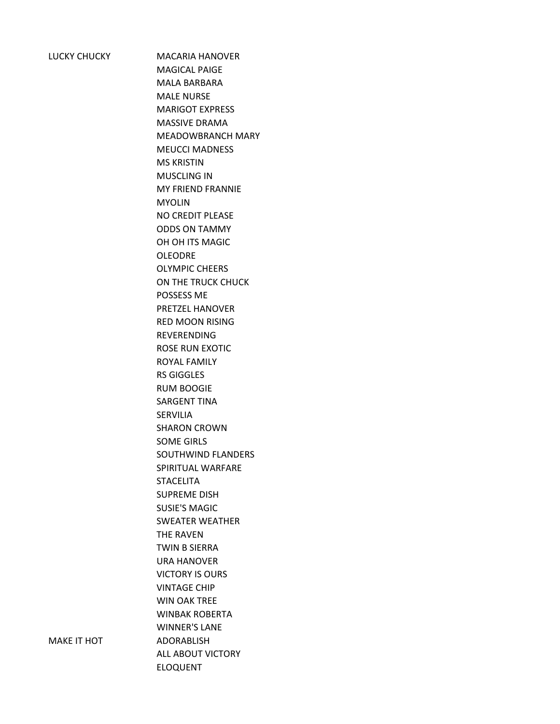LUCKY CHUCKY MACARIA HANOVER MAGICAL PAIGE MALA BARBARA MALE NURSE MARIGOT EXPRESS MASSIVE DRAMA MEADOWBRANCH MARY MEUCCI MADNESS MS KRISTIN MUSCLING IN MY FRIEND FRANNIE MYOLIN NO CREDIT PLEASE ODDS ON TAMMY OH OH ITS MAGIC OLEODRE OLYMPIC CHEERS ON THE TRUCK CHUCK POSSESS ME PRETZEL HANOVER RED MOON RISING REVERENDING ROSE RUN EXOTIC ROYAL FAMILY RS GIGGLES RUM BOOGIE SARGENT TINA **SERVILIA** SHARON CROWN SOME GIRLS SOUTHWIND FLANDERS SPIRITUAL WARFARE STACELITA SUPREME DISH SUSIE'S MAGIC SWEATER WEATHER THE RAVEN TWIN B SIERRA URA HANOVER VICTORY IS OURS VINTAGE CHIP WIN OAK TREE WINBAK ROBERTA WINNER'S LANE MAKE IT HOT ADORABLISH ALL ABOUT VICTORY ELOQUENT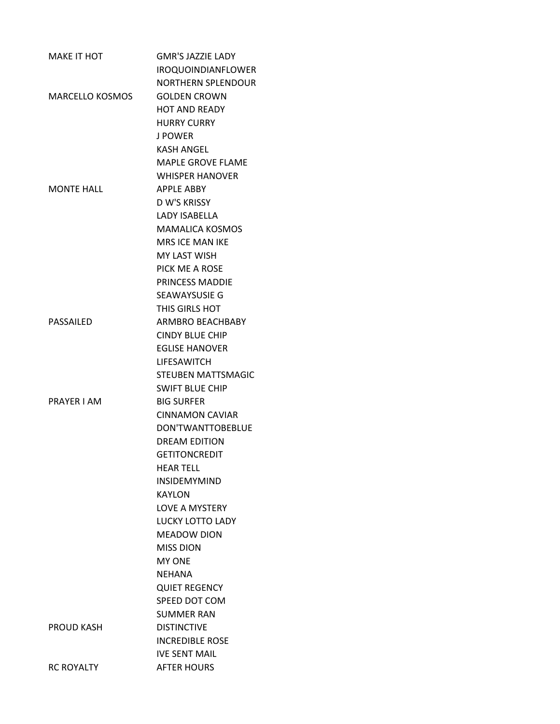| <b>MAKE IT HOT</b>     | <b>GMR'S JAZZIE LADY</b>           |
|------------------------|------------------------------------|
|                        | <b>IROQUOINDIANFLOWER</b>          |
|                        | <b>NORTHERN SPLENDOUR</b>          |
| <b>MARCELLO KOSMOS</b> | <b>GOLDEN CROWN</b>                |
|                        | <b>HOT AND READY</b>               |
|                        | <b>HURRY CURRY</b>                 |
|                        | <b>J POWER</b>                     |
|                        | <b>KASH ANGFL</b>                  |
|                        | <b>MAPLE GROVE FLAME</b>           |
|                        | <b>WHISPER HANOVER</b>             |
| <b>MONTE HALL</b>      | <b>APPLE ABBY</b>                  |
|                        | D W'S KRISSY                       |
|                        | <b>LADY ISABELLA</b>               |
|                        | <b>MAMALICA KOSMOS</b>             |
|                        | <b>MRS ICE MAN IKE</b>             |
|                        | <b>MY LAST WISH</b>                |
|                        | PICK ME A ROSE                     |
|                        | <b>PRINCESS MADDIE</b>             |
|                        | SEAWAYSUSIE G                      |
|                        | THIS GIRLS HOT                     |
| PASSAILED              | ARMBRO BEACHBABY                   |
|                        | <b>CINDY BLUE CHIP</b>             |
|                        | <b>EGLISE HANOVER</b>              |
|                        | <b>LIFESAWITCH</b>                 |
|                        | <b>STEUBEN MATTSMAGIC</b>          |
|                        | <b>SWIFT BLUE CHIP</b>             |
| PRAYER I AM            | <b>BIG SURFER</b>                  |
|                        | <b>CINNAMON CAVIAR</b>             |
|                        | DON'TWANTTOBEBLUE                  |
|                        | <b>DRFAM FDITION</b>               |
|                        | <b>GETITONCREDIT</b>               |
|                        | <b>HEAR TELL</b>                   |
|                        | <b>INSIDEMYMIND</b>                |
|                        | KAYLON                             |
|                        | <b>LOVE A MYSTERY</b>              |
|                        | <b>LUCKY LOTTO LADY</b>            |
|                        | <b>MEADOW DION</b>                 |
|                        | <b>MISS DION</b>                   |
|                        | <b>MY ONE</b>                      |
|                        | <b>NEHANA</b>                      |
|                        | <b>QUIET REGENCY</b>               |
|                        | SPEED DOT COM<br><b>SUMMER RAN</b> |
| <b>PROUD KASH</b>      | <b>DISTINCTIVE</b>                 |
|                        | <b>INCREDIBLE ROSE</b>             |
|                        | <b>IVE SENT MAIL</b>               |
|                        |                                    |
| <b>RC ROYALTY</b>      | <b>AFTER HOURS</b>                 |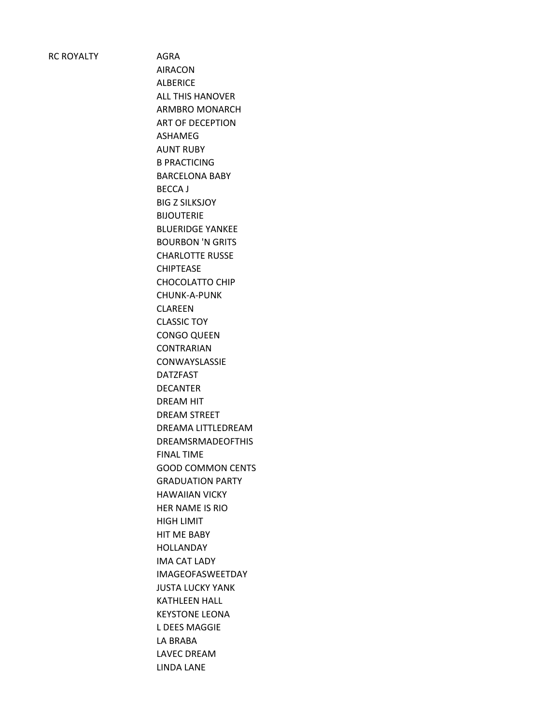RC ROYALTY AGRA

AIRACON ALBERICE ALL THIS HANOVER ARMBRO MONARCH ART OF DECEPTION ASHAMEG AUNT RUBY B PRACTICING BARCELONA BABY BECCA J BIG Z SILKSJOY BIJOUTERIE BLUERIDGE YANKEE BOURBON 'N GRITS CHARLOTTE RUSSE CHIPTEASE CHOCOLATTO CHIP CHUNK-A-PUNK CLAREEN CLASSIC TOY CONGO QUEEN CONTRARIAN CONWAYSLASSIE DATZFAST DECANTER DREAM HIT DREAM STREET DREAMA LITTLEDREAM DREAMSRMADEOFTHIS FINAL TIME GOOD COMMON CENTS GRADUATION PARTY HAWAIIAN VICKY HER NAME IS RIO HIGH LIMIT HIT ME BABY HOLLANDAY IMA CAT LADY IMAGEOFASWEETDAY JUSTA LUCKY YANK KATHLEEN HALL KEYSTONE LEONA L DEES MAGGIE LA BRABA LAVEC DREAM LINDA LANE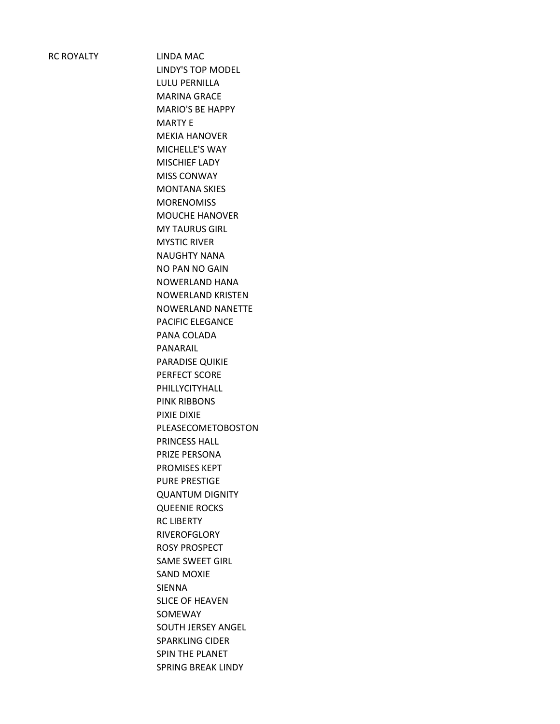RC ROYALTY LINDA MAC

LINDY'S TOP MODEL LULU PERNILLA MARINA GRACE MARIO'S BE HAPPY MARTY E MEKIA HANOVER MICHELLE'S WAY MISCHIEF LADY MISS CONWAY MONTANA SKIES **MORENOMISS** MOUCHE HANOVER MY TAURUS GIRL MYSTIC RIVER NAUGHTY NANA NO PAN NO GAIN NOWERLAND HANA NOWERLAND KRISTEN NOWERLAND NANETTE PACIFIC ELEGANCE PANA COLADA PANARAIL PARADISE QUIKIE PERFECT SCORE PHILLYCITYHALL PINK RIBBONS PIXIE DIXIE PLEASECOMETOBOSTON PRINCESS HALL PRIZE PERSONA PROMISES KEPT PURE PRESTIGE QUANTUM DIGNITY QUEENIE ROCKS RC LIBERTY RIVEROFGLORY ROSY PROSPECT SAME SWEET GIRL SAND MOXIE SIENNA SLICE OF HEAVEN SOMEWAY SOUTH JERSEY ANGEL SPARKLING CIDER SPIN THE PLANET SPRING BREAK LINDY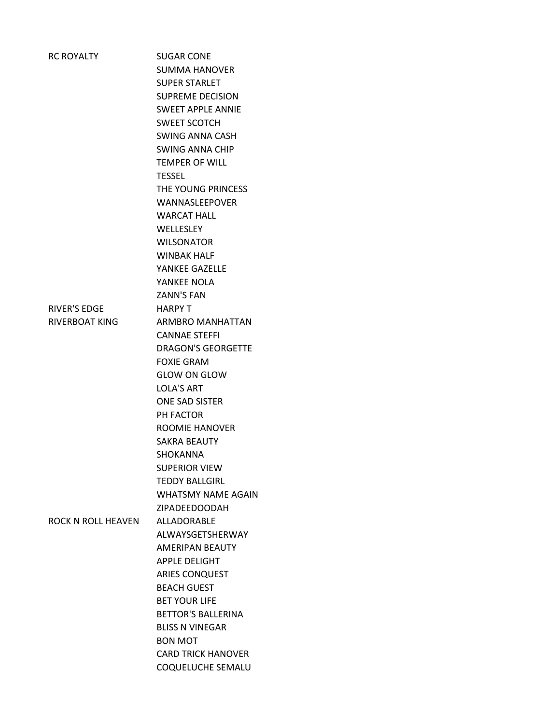| <b>RC ROYALTY</b>         | <b>SUGAR CONE</b>         |
|---------------------------|---------------------------|
|                           | <b>SUMMA HANOVER</b>      |
|                           | <b>SUPER STARLET</b>      |
|                           | <b>SUPREME DECISION</b>   |
|                           | <b>SWEET APPLE ANNIE</b>  |
|                           | <b>SWEET SCOTCH</b>       |
|                           | <b>SWING ANNA CASH</b>    |
|                           | <b>SWING ANNA CHIP</b>    |
|                           | <b>TEMPER OF WILL</b>     |
|                           | <b>TESSEL</b>             |
|                           | THE YOUNG PRINCESS        |
|                           | WANNASLEEPOVER            |
|                           | <b>WARCAT HALL</b>        |
|                           | WELLESLEY                 |
|                           | <b>WILSONATOR</b>         |
|                           | <b>WINBAK HALF</b>        |
|                           | YANKEE GAZELLE            |
|                           | YANKEE NOLA               |
|                           | <b>ZANN'S FAN</b>         |
| <b>RIVER'S EDGE</b>       | <b>HARPY T</b>            |
| <b>RIVERBOAT KING</b>     | ARMBRO MANHATTAN          |
|                           | <b>CANNAE STEFFI</b>      |
|                           | <b>DRAGON'S GEORGETTE</b> |
|                           | <b>FOXIE GRAM</b>         |
|                           | <b>GLOW ON GLOW</b>       |
|                           | <b>LOLA'S ART</b>         |
|                           | <b>ONE SAD SISTER</b>     |
|                           | PH FACTOR                 |
|                           | <b>ROOMIE HANOVER</b>     |
|                           | <b>SAKRA BEAUTY</b>       |
|                           | <b>SHOKANNA</b>           |
|                           | <b>SUPERIOR VIEW</b>      |
|                           | <b>TEDDY BALLGIRL</b>     |
|                           | <b>WHATSMY NAME AGAIN</b> |
|                           | ZIPADEEDOODAH             |
| <b>ROCK N ROLL HEAVEN</b> | ALLADORABLE               |
|                           | ALWAYSGETSHERWAY          |
|                           | AMERIPAN BEAUTY           |
|                           | <b>APPLE DELIGHT</b>      |
|                           | <b>ARIES CONQUEST</b>     |
|                           | <b>BEACH GUEST</b>        |
|                           | <b>BET YOUR LIFE</b>      |
|                           | <b>BETTOR'S BALLERINA</b> |
|                           | <b>BLISS N VINEGAR</b>    |
|                           | <b>BON MOT</b>            |
|                           | <b>CARD TRICK HANOVER</b> |
|                           | COQUELUCHE SEMALU         |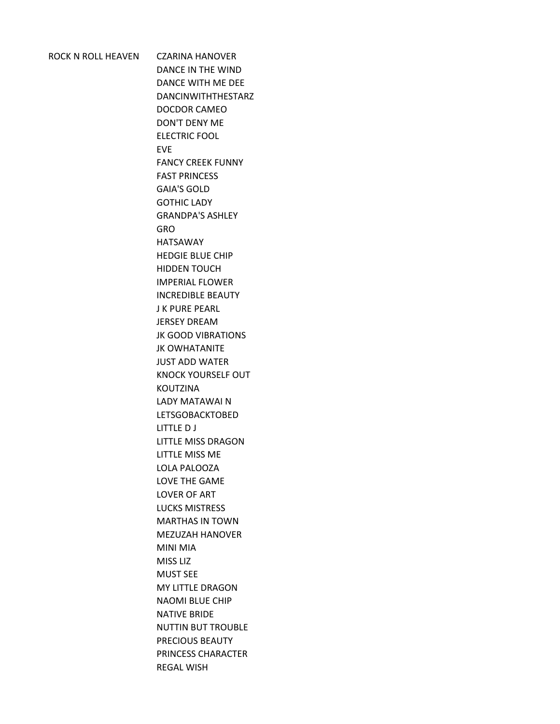ROCK N ROLL HEAVEN CZARINA HANOVER DANCE IN THE WIND DANCE WITH ME DEE DANCINWITHTHESTARZ DOCDOR CAMEO DON'T DENY ME ELECTRIC FOOL EVE FANCY CREEK FUNNY FAST PRINCESS GAIA'S GOLD GOTHIC LADY GRANDPA'S ASHLEY GRO HATSAWAY HEDGIE BLUE CHIP HIDDEN TOUCH IMPERIAL FLOWER INCREDIBLE BEAUTY J K PURE PEARL JERSEY DREAM JK GOOD VIBRATIONS JK OWHATANITE JUST ADD WATER KNOCK YOURSELF OUT KOUTZINA LADY MATAWAI N LETSGOBACKTOBED LITTLE D J LITTLE MISS DRAGON LITTLE MISS ME LOLA PALOOZA LOVE THE GAME LOVER OF ART LUCKS MISTRESS MARTHAS IN TOWN MEZUZAH HANOVER MINI MIA MISS LIZ MUST SEE MY LITTLE DRAGON NAOMI BLUE CHIP NATIVE BRIDE NUTTIN BUT TROUBLE PRECIOUS BEAUTY PRINCESS CHARACTER REGAL WISH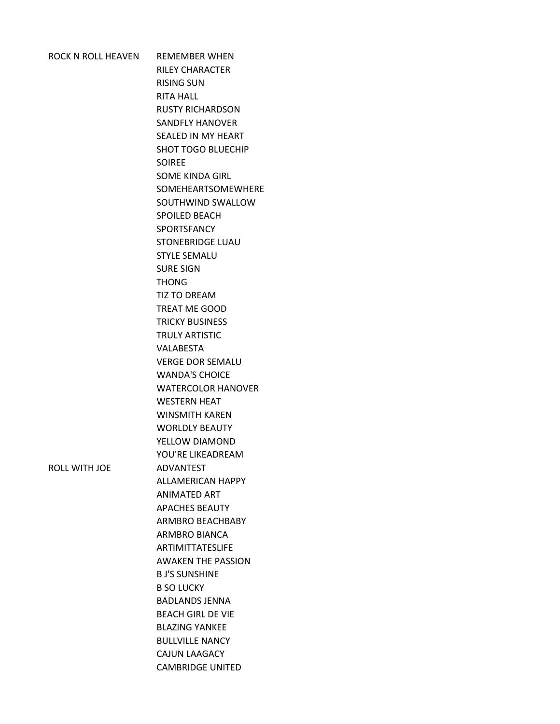| ROCK N ROLL HEAVEN REMEMBER WHEN |                           |
|----------------------------------|---------------------------|
|                                  | RILEY CHARACTER           |
|                                  | <b>RISING SUN</b>         |
|                                  | RITA HALL                 |
|                                  | <b>RUSTY RICHARDSON</b>   |
|                                  | <b>SANDFLY HANOVER</b>    |
|                                  | SEALED IN MY HEART        |
|                                  | <b>SHOT TOGO BLUECHIP</b> |
|                                  | <b>SOIREE</b>             |
|                                  | SOME KINDA GIRL           |
|                                  | SOMEHEARTSOMEWHERE        |
|                                  | SOUTHWIND SWALLOW         |
|                                  | <b>SPOILED BEACH</b>      |
|                                  | SPORTSFANCY               |
|                                  | <b>STONEBRIDGE LUAU</b>   |
|                                  | <b>STYLE SEMALU</b>       |
|                                  | <b>SURE SIGN</b>          |
|                                  | <b>THONG</b>              |
|                                  | <b>TIZ TO DREAM</b>       |
|                                  | <b>TREAT ME GOOD</b>      |
|                                  | <b>TRICKY BUSINESS</b>    |
|                                  | <b>TRULY ARTISTIC</b>     |
|                                  | VALABESTA                 |
|                                  | <b>VERGE DOR SEMALU</b>   |
|                                  | <b>WANDA'S CHOICE</b>     |
|                                  | <b>WATERCOLOR HANOVER</b> |
|                                  | <b>WESTERN HEAT</b>       |
|                                  | <b>WINSMITH KAREN</b>     |
|                                  | <b>WORLDLY BEAUTY</b>     |
|                                  | YFLLOW DIAMOND            |
|                                  | YOU'RE LIKEADREAM         |
| ROLL WITH JOE                    | <b>ADVANTEST</b>          |
|                                  | <b>ALLAMERICAN HAPPY</b>  |
|                                  | <b>ANIMATED ART</b>       |
|                                  | <b>APACHES BEAUTY</b>     |
|                                  | ARMBRO BEACHBABY          |
|                                  | ARMBRO BIANCA             |
|                                  | ARTIMITTATESLIFE          |
|                                  | <b>AWAKEN THE PASSION</b> |
|                                  | <b>BJ'S SUNSHINE</b>      |
|                                  | <b>B SO LUCKY</b>         |
|                                  | <b>BADLANDS JENNA</b>     |
|                                  | <b>BEACH GIRL DE VIE</b>  |
|                                  | <b>BLAZING YANKEE</b>     |
|                                  | <b>BULLVILLE NANCY</b>    |
|                                  | CAJUN LAAGACY             |
|                                  | <b>CAMBRIDGE UNITED</b>   |
|                                  |                           |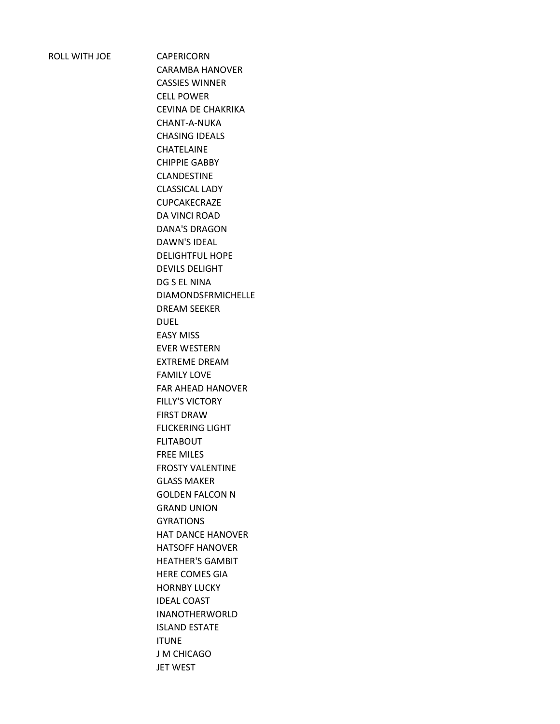ROLL WITH JOE CAPERICORN

CARAMBA HANOVER CASSIES WINNER CELL POWER CEVINA DE CHAKRIKA CHANT-A-NUKA CHASING IDEALS CHATELAINE CHIPPIE GABBY CLANDESTINE CLASSICAL LADY CUPCAKECRAZE DA VINCI ROAD DANA'S DRAGON DAWN'S IDEAL DELIGHTFUL HOPE DEVILS DELIGHT DG S EL NINA DIAMONDSFRMICHELLE DREAM SEEKER DUEL EASY MISS EVER WESTERN EXTREME DREAM FAMILY LOVE FAR AHEAD HANOVER FILLY'S VICTORY FIRST DRAW FLICKERING LIGHT FLITABOUT FREE MILES FROSTY VALENTINE GLASS MAKER GOLDEN FALCON N GRAND UNION GYRATIONS HAT DANCE HANOVER HATSOFF HANOVER HEATHER'S GAMBIT HERE COMES GIA HORNBY LUCKY IDEAL COAST INANOTHERWORLD ISLAND ESTATE ITUNE J M CHICAGO JET WEST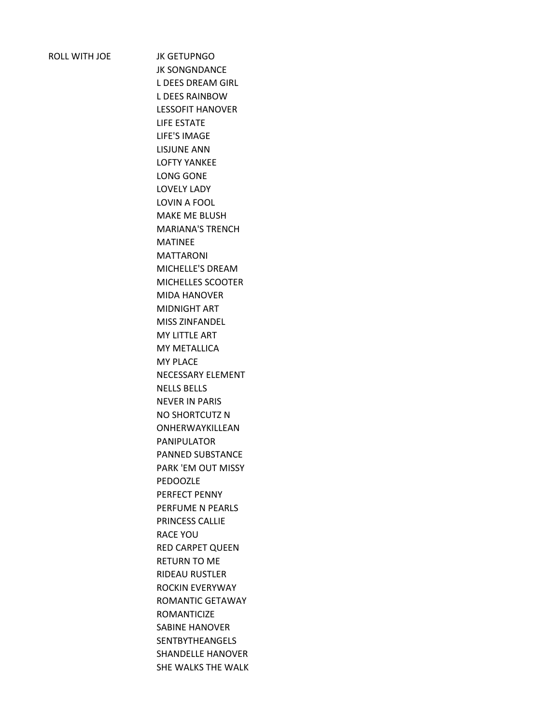ROLL WITH JOE JK GETUPNGO

JK SONGNDANCE L DEES DREAM GIRL L DEES RAINBOW LESSOFIT HANOVER LIFE ESTATE LIFE'S IMAGE LISJUNE ANN LOFTY YANKEE LONG GONE LOVELY LADY LOVIN A FOOL MAKE ME BLUSH MARIANA'S TRENCH MATINEE MATTARONI MICHELLE'S DREAM MICHELLES SCOOTER MIDA HANOVER MIDNIGHT ART MISS ZINFANDEL MY LITTLE ART MY METALLICA MY PLACE NECESSARY ELEMENT NELLS BELLS NEVER IN PARIS NO SHORTCUTZ N ONHERWAYKILLEAN PANIPULATOR PANNED SUBSTANCE PARK 'EM OUT MISSY PEDOOZLE PERFECT PENNY PERFUME N PEARLS PRINCESS CALLIE RACE YOU RED CARPET QUEEN RETURN TO ME RIDEAU RUSTLER ROCKIN EVERYWAY ROMANTIC GETAWAY ROMANTICIZE SABINE HANOVER SENTBYTHEANGELS SHANDELLE HANOVER SHE WALKS THE WALK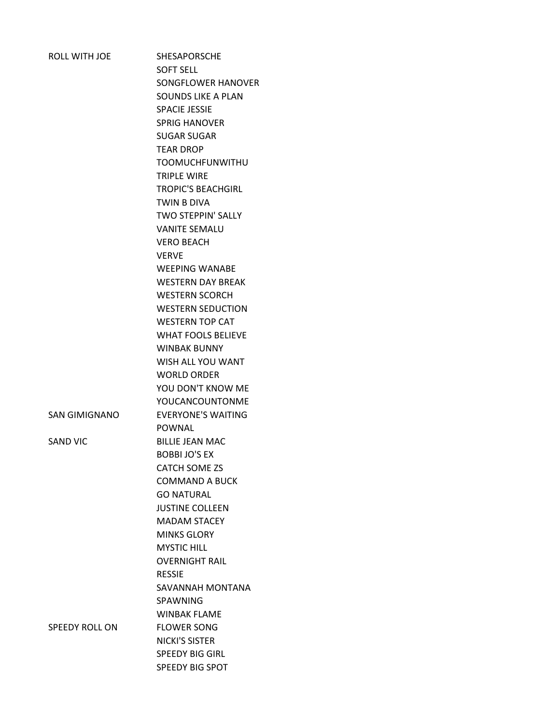| ROLL WITH JOE         | <b>SHESAPORSCHE</b>                              |
|-----------------------|--------------------------------------------------|
|                       | <b>SOFT SELL</b>                                 |
|                       | SONGFLOWER HANOVER                               |
|                       | SOUNDS LIKE A PLAN                               |
|                       | <b>SPACIE JESSIE</b>                             |
|                       | <b>SPRIG HANOVER</b>                             |
|                       | <b>SUGAR SUGAR</b>                               |
|                       | <b>TEAR DROP</b>                                 |
|                       | <b>TOOMUCHFUNWITHU</b>                           |
|                       | <b>TRIPLE WIRE</b>                               |
|                       | <b>TROPIC'S BEACHGIRL</b>                        |
|                       | TWIN B DIVA                                      |
|                       | <b>TWO STEPPIN' SALLY</b>                        |
|                       | <b>VANITE SEMALU</b>                             |
|                       | <b>VERO BEACH</b>                                |
|                       | <b>VFRVF</b>                                     |
|                       | <b>WEEPING WANABE</b>                            |
|                       | <b>WESTERN DAY BREAK</b>                         |
|                       | <b>WESTERN SCORCH</b>                            |
|                       | <b>WESTERN SEDUCTION</b>                         |
|                       | <b>WESTERN TOP CAT</b>                           |
|                       |                                                  |
|                       | <b>WHAT FOOLS BELIEVE</b><br><b>WINBAK BUNNY</b> |
|                       | WISH ALL YOU WANT                                |
|                       |                                                  |
|                       | <b>WORLD ORDER</b>                               |
|                       | YOU DON'T KNOW ME                                |
|                       | YOUCANCOUNTONME                                  |
| <b>SAN GIMIGNANO</b>  | <b>EVERYONE'S WAITING</b>                        |
|                       | POWNAL                                           |
| <b>SAND VIC</b>       | <b>BILLIE JEAN MAC</b>                           |
|                       | <b>BOBBI JO'S EX</b>                             |
|                       | <b>CATCH SOME ZS</b>                             |
|                       | <b>COMMAND A BUCK</b>                            |
|                       | <b>GO NATURAL</b>                                |
|                       | <b>JUSTINE COLLEEN</b>                           |
|                       | <b>MADAM STACEY</b>                              |
|                       | <b>MINKS GLORY</b>                               |
|                       | <b>MYSTIC HILL</b>                               |
|                       | <b>OVERNIGHT RAIL</b>                            |
|                       | <b>RESSIE</b>                                    |
|                       | SAVANNAH MONTANA                                 |
|                       | <b>SPAWNING</b>                                  |
|                       | <b>WINBAK FLAME</b>                              |
| <b>SPEEDY ROLL ON</b> | <b>FLOWER SONG</b>                               |
|                       | NICKI'S SISTER                                   |
|                       | <b>SPEEDY BIG GIRL</b>                           |
|                       | SPEEDY BIG SPOT                                  |